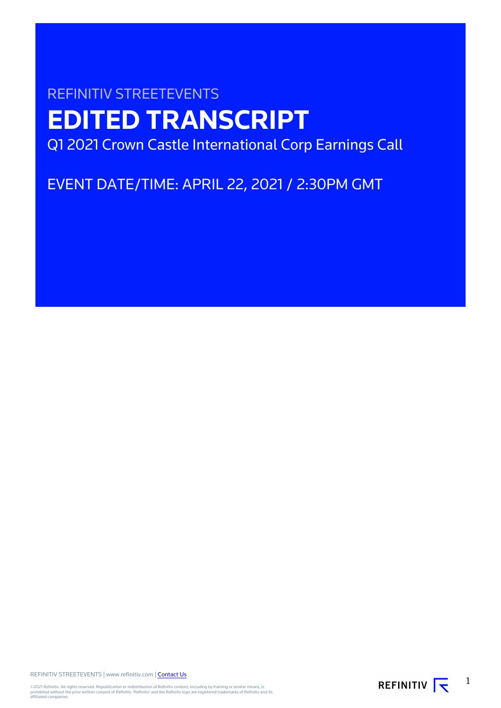# REFINITIV STREETEVENTS **EDITED TRANSCRIPT** Q1 2021 Crown Castle International Corp Earnings Call

EVENT DATE/TIME: APRIL 22, 2021 / 2:30PM GMT

REFINITIV STREETEVENTS | www.refinitiv.com | [Contact Us](https://www.refinitiv.com/en/contact-us)

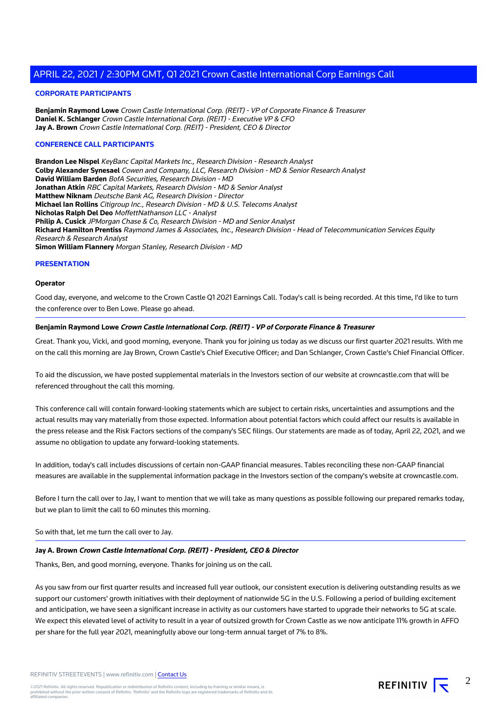#### **CORPORATE PARTICIPANTS**

**Benjamin Raymond Lowe** Crown Castle International Corp. (REIT) - VP of Corporate Finance & Treasurer **Daniel K. Schlanger** Crown Castle International Corp. (REIT) - Executive VP & CFO **Jay A. Brown** Crown Castle International Corp. (REIT) - President, CEO & Director

#### **CONFERENCE CALL PARTICIPANTS**

**Brandon Lee Nispel** KeyBanc Capital Markets Inc., Research Division - Research Analyst **Colby Alexander Synesael** Cowen and Company, LLC, Research Division - MD & Senior Research Analyst **David William Barden** BofA Securities, Research Division - MD **Jonathan Atkin** RBC Capital Markets, Research Division - MD & Senior Analyst **Matthew Niknam** Deutsche Bank AG, Research Division - Director **Michael Ian Rollins** Citigroup Inc., Research Division - MD & U.S. Telecoms Analyst **Nicholas Ralph Del Deo** MoffettNathanson LLC - Analyst **Philip A. Cusick** JPMorgan Chase & Co, Research Division - MD and Senior Analyst **Richard Hamilton Prentiss** Raymond James & Associates, Inc., Research Division - Head of Telecommunication Services Equity Research & Research Analyst **Simon William Flannery** Morgan Stanley, Research Division - MD

#### **PRESENTATION**

#### **Operator**

Good day, everyone, and welcome to the Crown Castle Q1 2021 Earnings Call. Today's call is being recorded. At this time, I'd like to turn the conference over to Ben Lowe. Please go ahead.

#### **Benjamin Raymond Lowe Crown Castle International Corp. (REIT) - VP of Corporate Finance & Treasurer**

Great. Thank you, Vicki, and good morning, everyone. Thank you for joining us today as we discuss our first quarter 2021 results. With me on the call this morning are Jay Brown, Crown Castle's Chief Executive Officer; and Dan Schlanger, Crown Castle's Chief Financial Officer.

To aid the discussion, we have posted supplemental materials in the Investors section of our website at crowncastle.com that will be referenced throughout the call this morning.

This conference call will contain forward-looking statements which are subject to certain risks, uncertainties and assumptions and the actual results may vary materially from those expected. Information about potential factors which could affect our results is available in the press release and the Risk Factors sections of the company's SEC filings. Our statements are made as of today, April 22, 2021, and we assume no obligation to update any forward-looking statements.

In addition, today's call includes discussions of certain non-GAAP financial measures. Tables reconciling these non-GAAP financial measures are available in the supplemental information package in the Investors section of the company's website at crowncastle.com.

Before I turn the call over to Jay, I want to mention that we will take as many questions as possible following our prepared remarks today, but we plan to limit the call to 60 minutes this morning.

So with that, let me turn the call over to Jay.

#### **Jay A. Brown Crown Castle International Corp. (REIT) - President, CEO & Director**

Thanks, Ben, and good morning, everyone. Thanks for joining us on the call.

As you saw from our first quarter results and increased full year outlook, our consistent execution is delivering outstanding results as we support our customers' growth initiatives with their deployment of nationwide 5G in the U.S. Following a period of building excitement and anticipation, we have seen a significant increase in activity as our customers have started to upgrade their networks to 5G at scale. We expect this elevated level of activity to result in a year of outsized growth for Crown Castle as we now anticipate 11% growth in AFFO per share for the full year 2021, meaningfully above our long-term annual target of 7% to 8%.

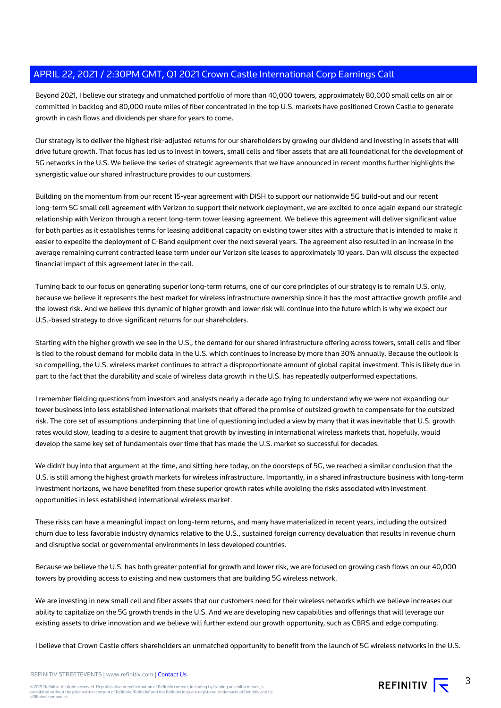Beyond 2021, I believe our strategy and unmatched portfolio of more than 40,000 towers, approximately 80,000 small cells on air or committed in backlog and 80,000 route miles of fiber concentrated in the top U.S. markets have positioned Crown Castle to generate growth in cash flows and dividends per share for years to come.

Our strategy is to deliver the highest risk-adjusted returns for our shareholders by growing our dividend and investing in assets that will drive future growth. That focus has led us to invest in towers, small cells and fiber assets that are all foundational for the development of 5G networks in the U.S. We believe the series of strategic agreements that we have announced in recent months further highlights the synergistic value our shared infrastructure provides to our customers.

Building on the momentum from our recent 15-year agreement with DISH to support our nationwide 5G build-out and our recent long-term 5G small cell agreement with Verizon to support their network deployment, we are excited to once again expand our strategic relationship with Verizon through a recent long-term tower leasing agreement. We believe this agreement will deliver significant value for both parties as it establishes terms for leasing additional capacity on existing tower sites with a structure that is intended to make it easier to expedite the deployment of C-Band equipment over the next several years. The agreement also resulted in an increase in the average remaining current contracted lease term under our Verizon site leases to approximately 10 years. Dan will discuss the expected financial impact of this agreement later in the call.

Turning back to our focus on generating superior long-term returns, one of our core principles of our strategy is to remain U.S. only, because we believe it represents the best market for wireless infrastructure ownership since it has the most attractive growth profile and the lowest risk. And we believe this dynamic of higher growth and lower risk will continue into the future which is why we expect our U.S.-based strategy to drive significant returns for our shareholders.

Starting with the higher growth we see in the U.S., the demand for our shared infrastructure offering across towers, small cells and fiber is tied to the robust demand for mobile data in the U.S. which continues to increase by more than 30% annually. Because the outlook is so compelling, the U.S. wireless market continues to attract a disproportionate amount of global capital investment. This is likely due in part to the fact that the durability and scale of wireless data growth in the U.S. has repeatedly outperformed expectations.

I remember fielding questions from investors and analysts nearly a decade ago trying to understand why we were not expanding our tower business into less established international markets that offered the promise of outsized growth to compensate for the outsized risk. The core set of assumptions underpinning that line of questioning included a view by many that it was inevitable that U.S. growth rates would slow, leading to a desire to augment that growth by investing in international wireless markets that, hopefully, would develop the same key set of fundamentals over time that has made the U.S. market so successful for decades.

We didn't buy into that argument at the time, and sitting here today, on the doorsteps of 5G, we reached a similar conclusion that the U.S. is still among the highest growth markets for wireless infrastructure. Importantly, in a shared infrastructure business with long-term investment horizons, we have benefited from these superior growth rates while avoiding the risks associated with investment opportunities in less established international wireless market.

These risks can have a meaningful impact on long-term returns, and many have materialized in recent years, including the outsized churn due to less favorable industry dynamics relative to the U.S., sustained foreign currency devaluation that results in revenue churn and disruptive social or governmental environments in less developed countries.

Because we believe the U.S. has both greater potential for growth and lower risk, we are focused on growing cash flows on our 40,000 towers by providing access to existing and new customers that are building 5G wireless network.

We are investing in new small cell and fiber assets that our customers need for their wireless networks which we believe increases our ability to capitalize on the 5G growth trends in the U.S. And we are developing new capabilities and offerings that will leverage our existing assets to drive innovation and we believe will further extend our growth opportunity, such as CBRS and edge computing.

I believe that Crown Castle offers shareholders an unmatched opportunity to benefit from the launch of 5G wireless networks in the U.S.

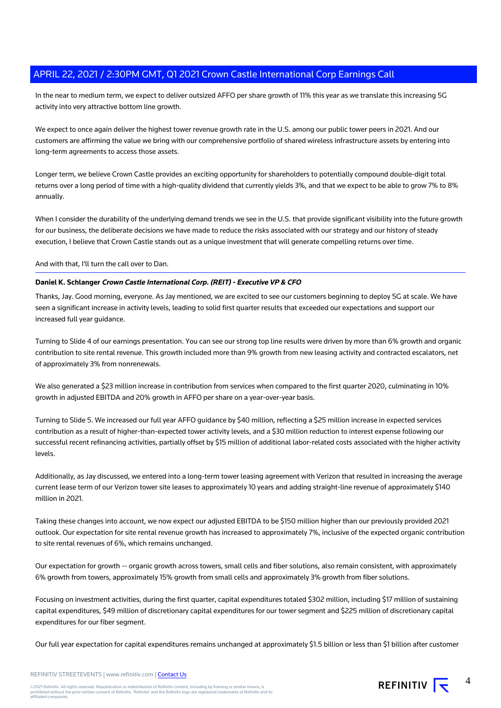In the near to medium term, we expect to deliver outsized AFFO per share growth of 11% this year as we translate this increasing 5G activity into very attractive bottom line growth.

We expect to once again deliver the highest tower revenue growth rate in the U.S. among our public tower peers in 2021. And our customers are affirming the value we bring with our comprehensive portfolio of shared wireless infrastructure assets by entering into long-term agreements to access those assets.

Longer term, we believe Crown Castle provides an exciting opportunity for shareholders to potentially compound double-digit total returns over a long period of time with a high-quality dividend that currently yields 3%, and that we expect to be able to grow 7% to 8% annually.

When I consider the durability of the underlying demand trends we see in the U.S. that provide significant visibility into the future growth for our business, the deliberate decisions we have made to reduce the risks associated with our strategy and our history of steady execution, I believe that Crown Castle stands out as a unique investment that will generate compelling returns over time.

#### And with that, I'll turn the call over to Dan.

#### **Daniel K. Schlanger Crown Castle International Corp. (REIT) - Executive VP & CFO**

Thanks, Jay. Good morning, everyone. As Jay mentioned, we are excited to see our customers beginning to deploy 5G at scale. We have seen a significant increase in activity levels, leading to solid first quarter results that exceeded our expectations and support our increased full year guidance.

Turning to Slide 4 of our earnings presentation. You can see our strong top line results were driven by more than 6% growth and organic contribution to site rental revenue. This growth included more than 9% growth from new leasing activity and contracted escalators, net of approximately 3% from nonrenewals.

We also generated a \$23 million increase in contribution from services when compared to the first quarter 2020, culminating in 10% growth in adjusted EBITDA and 20% growth in AFFO per share on a year-over-year basis.

Turning to Slide 5. We increased our full year AFFO guidance by \$40 million, reflecting a \$25 million increase in expected services contribution as a result of higher-than-expected tower activity levels, and a \$30 million reduction to interest expense following our successful recent refinancing activities, partially offset by \$15 million of additional labor-related costs associated with the higher activity levels.

Additionally, as Jay discussed, we entered into a long-term tower leasing agreement with Verizon that resulted in increasing the average current lease term of our Verizon tower site leases to approximately 10 years and adding straight-line revenue of approximately \$140 million in 2021.

Taking these changes into account, we now expect our adjusted EBITDA to be \$150 million higher than our previously provided 2021 outlook. Our expectation for site rental revenue growth has increased to approximately 7%, inclusive of the expected organic contribution to site rental revenues of 6%, which remains unchanged.

Our expectation for growth -- organic growth across towers, small cells and fiber solutions, also remain consistent, with approximately 6% growth from towers, approximately 15% growth from small cells and approximately 3% growth from fiber solutions.

Focusing on investment activities, during the first quarter, capital expenditures totaled \$302 million, including \$17 million of sustaining capital expenditures, \$49 million of discretionary capital expenditures for our tower segment and \$225 million of discretionary capital expenditures for our fiber segment.

Our full year expectation for capital expenditures remains unchanged at approximately \$1.5 billion or less than \$1 billion after customer

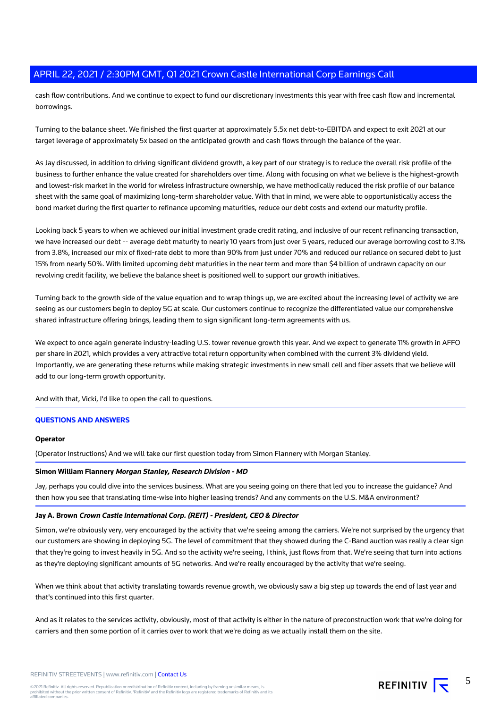cash flow contributions. And we continue to expect to fund our discretionary investments this year with free cash flow and incremental borrowings.

Turning to the balance sheet. We finished the first quarter at approximately 5.5x net debt-to-EBITDA and expect to exit 2021 at our target leverage of approximately 5x based on the anticipated growth and cash flows through the balance of the year.

As Jay discussed, in addition to driving significant dividend growth, a key part of our strategy is to reduce the overall risk profile of the business to further enhance the value created for shareholders over time. Along with focusing on what we believe is the highest-growth and lowest-risk market in the world for wireless infrastructure ownership, we have methodically reduced the risk profile of our balance sheet with the same goal of maximizing long-term shareholder value. With that in mind, we were able to opportunistically access the bond market during the first quarter to refinance upcoming maturities, reduce our debt costs and extend our maturity profile.

Looking back 5 years to when we achieved our initial investment grade credit rating, and inclusive of our recent refinancing transaction, we have increased our debt -- average debt maturity to nearly 10 years from just over 5 years, reduced our average borrowing cost to 3.1% from 3.8%, increased our mix of fixed-rate debt to more than 90% from just under 70% and reduced our reliance on secured debt to just 15% from nearly 50%. With limited upcoming debt maturities in the near term and more than \$4 billion of undrawn capacity on our revolving credit facility, we believe the balance sheet is positioned well to support our growth initiatives.

Turning back to the growth side of the value equation and to wrap things up, we are excited about the increasing level of activity we are seeing as our customers begin to deploy 5G at scale. Our customers continue to recognize the differentiated value our comprehensive shared infrastructure offering brings, leading them to sign significant long-term agreements with us.

We expect to once again generate industry-leading U.S. tower revenue growth this year. And we expect to generate 11% growth in AFFO per share in 2021, which provides a very attractive total return opportunity when combined with the current 3% dividend yield. Importantly, we are generating these returns while making strategic investments in new small cell and fiber assets that we believe will add to our long-term growth opportunity.

And with that, Vicki, I'd like to open the call to questions.

#### **QUESTIONS AND ANSWERS**

## **Operator**

(Operator Instructions) And we will take our first question today from Simon Flannery with Morgan Stanley.

#### **Simon William Flannery Morgan Stanley, Research Division - MD**

Jay, perhaps you could dive into the services business. What are you seeing going on there that led you to increase the guidance? And then how you see that translating time-wise into higher leasing trends? And any comments on the U.S. M&A environment?

#### **Jay A. Brown Crown Castle International Corp. (REIT) - President, CEO & Director**

Simon, we're obviously very, very encouraged by the activity that we're seeing among the carriers. We're not surprised by the urgency that our customers are showing in deploying 5G. The level of commitment that they showed during the C-Band auction was really a clear sign that they're going to invest heavily in 5G. And so the activity we're seeing, I think, just flows from that. We're seeing that turn into actions as they're deploying significant amounts of 5G networks. And we're really encouraged by the activity that we're seeing.

When we think about that activity translating towards revenue growth, we obviously saw a big step up towards the end of last year and that's continued into this first quarter.

And as it relates to the services activity, obviously, most of that activity is either in the nature of preconstruction work that we're doing for carriers and then some portion of it carries over to work that we're doing as we actually install them on the site.

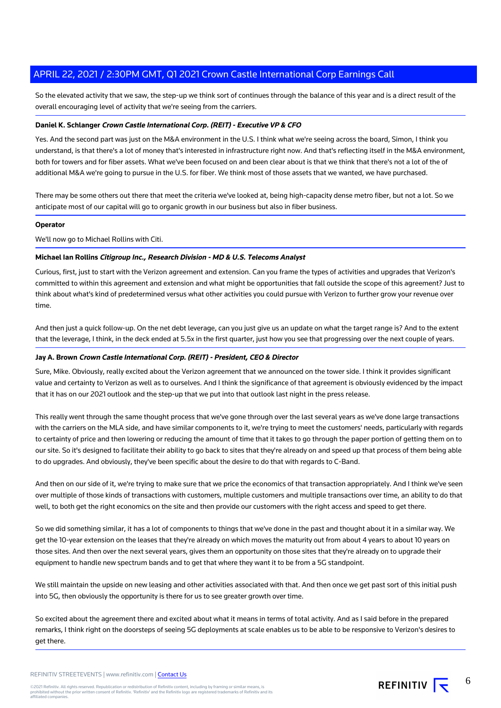So the elevated activity that we saw, the step-up we think sort of continues through the balance of this year and is a direct result of the overall encouraging level of activity that we're seeing from the carriers.

#### **Daniel K. Schlanger Crown Castle International Corp. (REIT) - Executive VP & CFO**

Yes. And the second part was just on the M&A environment in the U.S. I think what we're seeing across the board, Simon, I think you understand, is that there's a lot of money that's interested in infrastructure right now. And that's reflecting itself in the M&A environment, both for towers and for fiber assets. What we've been focused on and been clear about is that we think that there's not a lot of the of additional M&A we're going to pursue in the U.S. for fiber. We think most of those assets that we wanted, we have purchased.

There may be some others out there that meet the criteria we've looked at, being high-capacity dense metro fiber, but not a lot. So we anticipate most of our capital will go to organic growth in our business but also in fiber business.

#### **Operator**

We'll now go to Michael Rollins with Citi.

#### **Michael Ian Rollins Citigroup Inc., Research Division - MD & U.S. Telecoms Analyst**

Curious, first, just to start with the Verizon agreement and extension. Can you frame the types of activities and upgrades that Verizon's committed to within this agreement and extension and what might be opportunities that fall outside the scope of this agreement? Just to think about what's kind of predetermined versus what other activities you could pursue with Verizon to further grow your revenue over time.

And then just a quick follow-up. On the net debt leverage, can you just give us an update on what the target range is? And to the extent that the leverage, I think, in the deck ended at 5.5x in the first quarter, just how you see that progressing over the next couple of years.

#### **Jay A. Brown Crown Castle International Corp. (REIT) - President, CEO & Director**

Sure, Mike. Obviously, really excited about the Verizon agreement that we announced on the tower side. I think it provides significant value and certainty to Verizon as well as to ourselves. And I think the significance of that agreement is obviously evidenced by the impact that it has on our 2021 outlook and the step-up that we put into that outlook last night in the press release.

This really went through the same thought process that we've gone through over the last several years as we've done large transactions with the carriers on the MLA side, and have similar components to it, we're trying to meet the customers' needs, particularly with regards to certainty of price and then lowering or reducing the amount of time that it takes to go through the paper portion of getting them on to our site. So it's designed to facilitate their ability to go back to sites that they're already on and speed up that process of them being able to do upgrades. And obviously, they've been specific about the desire to do that with regards to C-Band.

And then on our side of it, we're trying to make sure that we price the economics of that transaction appropriately. And I think we've seen over multiple of those kinds of transactions with customers, multiple customers and multiple transactions over time, an ability to do that well, to both get the right economics on the site and then provide our customers with the right access and speed to get there.

So we did something similar, it has a lot of components to things that we've done in the past and thought about it in a similar way. We get the 10-year extension on the leases that they're already on which moves the maturity out from about 4 years to about 10 years on those sites. And then over the next several years, gives them an opportunity on those sites that they're already on to upgrade their equipment to handle new spectrum bands and to get that where they want it to be from a 5G standpoint.

We still maintain the upside on new leasing and other activities associated with that. And then once we get past sort of this initial push into 5G, then obviously the opportunity is there for us to see greater growth over time.

So excited about the agreement there and excited about what it means in terms of total activity. And as I said before in the prepared remarks, I think right on the doorsteps of seeing 5G deployments at scale enables us to be able to be responsive to Verizon's desires to get there.

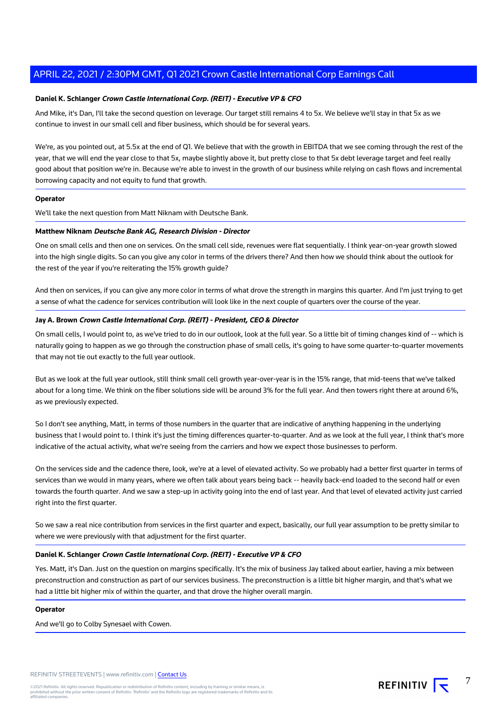#### **Daniel K. Schlanger Crown Castle International Corp. (REIT) - Executive VP & CFO**

And Mike, it's Dan, I'll take the second question on leverage. Our target still remains 4 to 5x. We believe we'll stay in that 5x as we continue to invest in our small cell and fiber business, which should be for several years.

We're, as you pointed out, at 5.5x at the end of Q1. We believe that with the growth in EBITDA that we see coming through the rest of the year, that we will end the year close to that 5x, maybe slightly above it, but pretty close to that 5x debt leverage target and feel really good about that position we're in. Because we're able to invest in the growth of our business while relying on cash flows and incremental borrowing capacity and not equity to fund that growth.

#### **Operator**

We'll take the next question from Matt Niknam with Deutsche Bank.

#### **Matthew Niknam Deutsche Bank AG, Research Division - Director**

One on small cells and then one on services. On the small cell side, revenues were flat sequentially. I think year-on-year growth slowed into the high single digits. So can you give any color in terms of the drivers there? And then how we should think about the outlook for the rest of the year if you're reiterating the 15% growth guide?

And then on services, if you can give any more color in terms of what drove the strength in margins this quarter. And I'm just trying to get a sense of what the cadence for services contribution will look like in the next couple of quarters over the course of the year.

#### **Jay A. Brown Crown Castle International Corp. (REIT) - President, CEO & Director**

On small cells, I would point to, as we've tried to do in our outlook, look at the full year. So a little bit of timing changes kind of -- which is naturally going to happen as we go through the construction phase of small cells, it's going to have some quarter-to-quarter movements that may not tie out exactly to the full year outlook.

But as we look at the full year outlook, still think small cell growth year-over-year is in the 15% range, that mid-teens that we've talked about for a long time. We think on the fiber solutions side will be around 3% for the full year. And then towers right there at around 6%, as we previously expected.

So I don't see anything, Matt, in terms of those numbers in the quarter that are indicative of anything happening in the underlying business that I would point to. I think it's just the timing differences quarter-to-quarter. And as we look at the full year, I think that's more indicative of the actual activity, what we're seeing from the carriers and how we expect those businesses to perform.

On the services side and the cadence there, look, we're at a level of elevated activity. So we probably had a better first quarter in terms of services than we would in many years, where we often talk about years being back -- heavily back-end loaded to the second half or even towards the fourth quarter. And we saw a step-up in activity going into the end of last year. And that level of elevated activity just carried right into the first quarter.

So we saw a real nice contribution from services in the first quarter and expect, basically, our full year assumption to be pretty similar to where we were previously with that adjustment for the first quarter.

#### **Daniel K. Schlanger Crown Castle International Corp. (REIT) - Executive VP & CFO**

Yes. Matt, it's Dan. Just on the question on margins specifically. It's the mix of business Jay talked about earlier, having a mix between preconstruction and construction as part of our services business. The preconstruction is a little bit higher margin, and that's what we had a little bit higher mix of within the quarter, and that drove the higher overall margin.

#### **Operator**

And we'll go to Colby Synesael with Cowen.

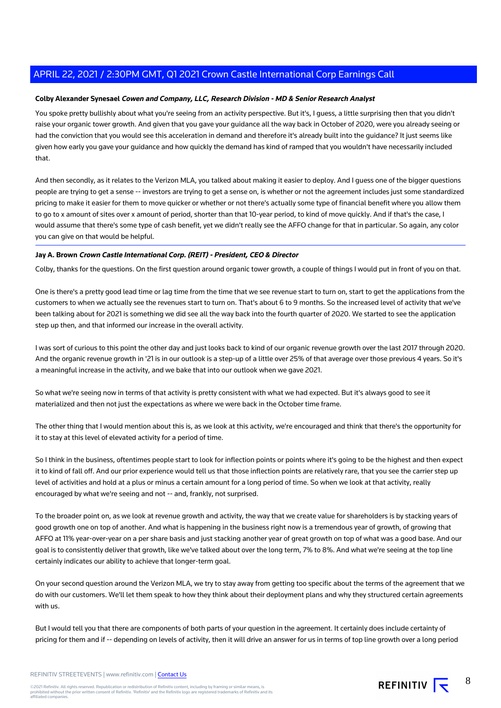#### **Colby Alexander Synesael Cowen and Company, LLC, Research Division - MD & Senior Research Analyst**

You spoke pretty bullishly about what you're seeing from an activity perspective. But it's, I guess, a little surprising then that you didn't raise your organic tower growth. And given that you gave your guidance all the way back in October of 2020, were you already seeing or had the conviction that you would see this acceleration in demand and therefore it's already built into the guidance? It just seems like given how early you gave your guidance and how quickly the demand has kind of ramped that you wouldn't have necessarily included that.

And then secondly, as it relates to the Verizon MLA, you talked about making it easier to deploy. And I guess one of the bigger questions people are trying to get a sense -- investors are trying to get a sense on, is whether or not the agreement includes just some standardized pricing to make it easier for them to move quicker or whether or not there's actually some type of financial benefit where you allow them to go to x amount of sites over x amount of period, shorter than that 10-year period, to kind of move quickly. And if that's the case, I would assume that there's some type of cash benefit, yet we didn't really see the AFFO change for that in particular. So again, any color you can give on that would be helpful.

#### **Jay A. Brown Crown Castle International Corp. (REIT) - President, CEO & Director**

Colby, thanks for the questions. On the first question around organic tower growth, a couple of things I would put in front of you on that.

One is there's a pretty good lead time or lag time from the time that we see revenue start to turn on, start to get the applications from the customers to when we actually see the revenues start to turn on. That's about 6 to 9 months. So the increased level of activity that we've been talking about for 2021 is something we did see all the way back into the fourth quarter of 2020. We started to see the application step up then, and that informed our increase in the overall activity.

I was sort of curious to this point the other day and just looks back to kind of our organic revenue growth over the last 2017 through 2020. And the organic revenue growth in '21 is in our outlook is a step-up of a little over 25% of that average over those previous 4 years. So it's a meaningful increase in the activity, and we bake that into our outlook when we gave 2021.

So what we're seeing now in terms of that activity is pretty consistent with what we had expected. But it's always good to see it materialized and then not just the expectations as where we were back in the October time frame.

The other thing that I would mention about this is, as we look at this activity, we're encouraged and think that there's the opportunity for it to stay at this level of elevated activity for a period of time.

So I think in the business, oftentimes people start to look for inflection points or points where it's going to be the highest and then expect it to kind of fall off. And our prior experience would tell us that those inflection points are relatively rare, that you see the carrier step up level of activities and hold at a plus or minus a certain amount for a long period of time. So when we look at that activity, really encouraged by what we're seeing and not -- and, frankly, not surprised.

To the broader point on, as we look at revenue growth and activity, the way that we create value for shareholders is by stacking years of good growth one on top of another. And what is happening in the business right now is a tremendous year of growth, of growing that AFFO at 11% year-over-year on a per share basis and just stacking another year of great growth on top of what was a good base. And our goal is to consistently deliver that growth, like we've talked about over the long term, 7% to 8%. And what we're seeing at the top line certainly indicates our ability to achieve that longer-term goal.

On your second question around the Verizon MLA, we try to stay away from getting too specific about the terms of the agreement that we do with our customers. We'll let them speak to how they think about their deployment plans and why they structured certain agreements with us.

But I would tell you that there are components of both parts of your question in the agreement. It certainly does include certainty of pricing for them and if -- depending on levels of activity, then it will drive an answer for us in terms of top line growth over a long period

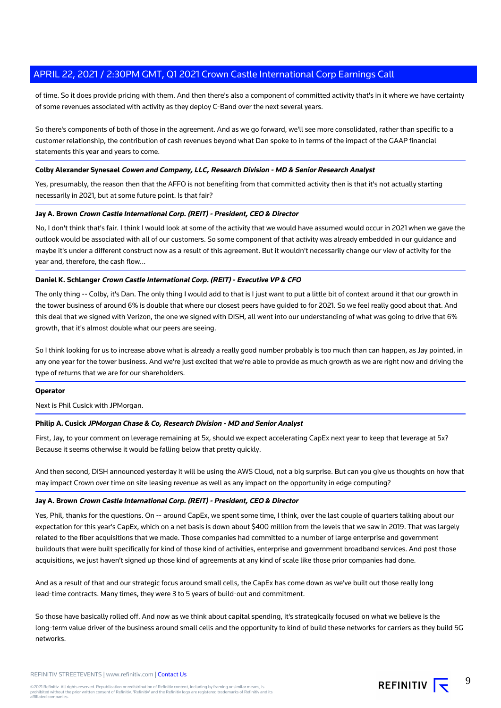of time. So it does provide pricing with them. And then there's also a component of committed activity that's in it where we have certainty of some revenues associated with activity as they deploy C-Band over the next several years.

So there's components of both of those in the agreement. And as we go forward, we'll see more consolidated, rather than specific to a customer relationship, the contribution of cash revenues beyond what Dan spoke to in terms of the impact of the GAAP financial statements this year and years to come.

#### **Colby Alexander Synesael Cowen and Company, LLC, Research Division - MD & Senior Research Analyst**

Yes, presumably, the reason then that the AFFO is not benefiting from that committed activity then is that it's not actually starting necessarily in 2021, but at some future point. Is that fair?

#### **Jay A. Brown Crown Castle International Corp. (REIT) - President, CEO & Director**

No, I don't think that's fair. I think I would look at some of the activity that we would have assumed would occur in 2021 when we gave the outlook would be associated with all of our customers. So some component of that activity was already embedded in our guidance and maybe it's under a different construct now as a result of this agreement. But it wouldn't necessarily change our view of activity for the year and, therefore, the cash flow...

#### **Daniel K. Schlanger Crown Castle International Corp. (REIT) - Executive VP & CFO**

The only thing -- Colby, it's Dan. The only thing I would add to that is I just want to put a little bit of context around it that our growth in the tower business of around 6% is double that where our closest peers have guided to for 2021. So we feel really good about that. And this deal that we signed with Verizon, the one we signed with DISH, all went into our understanding of what was going to drive that 6% growth, that it's almost double what our peers are seeing.

So I think looking for us to increase above what is already a really good number probably is too much than can happen, as Jay pointed, in any one year for the tower business. And we're just excited that we're able to provide as much growth as we are right now and driving the type of returns that we are for our shareholders.

#### **Operator**

Next is Phil Cusick with JPMorgan.

#### **Philip A. Cusick JPMorgan Chase & Co, Research Division - MD and Senior Analyst**

First, Jay, to your comment on leverage remaining at 5x, should we expect accelerating CapEx next year to keep that leverage at 5x? Because it seems otherwise it would be falling below that pretty quickly.

And then second, DISH announced yesterday it will be using the AWS Cloud, not a big surprise. But can you give us thoughts on how that may impact Crown over time on site leasing revenue as well as any impact on the opportunity in edge computing?

## **Jay A. Brown Crown Castle International Corp. (REIT) - President, CEO & Director**

Yes, Phil, thanks for the questions. On -- around CapEx, we spent some time, I think, over the last couple of quarters talking about our expectation for this year's CapEx, which on a net basis is down about \$400 million from the levels that we saw in 2019. That was largely related to the fiber acquisitions that we made. Those companies had committed to a number of large enterprise and government buildouts that were built specifically for kind of those kind of activities, enterprise and government broadband services. And post those acquisitions, we just haven't signed up those kind of agreements at any kind of scale like those prior companies had done.

And as a result of that and our strategic focus around small cells, the CapEx has come down as we've built out those really long lead-time contracts. Many times, they were 3 to 5 years of build-out and commitment.

So those have basically rolled off. And now as we think about capital spending, it's strategically focused on what we believe is the long-term value driver of the business around small cells and the opportunity to kind of build these networks for carriers as they build 5G networks.

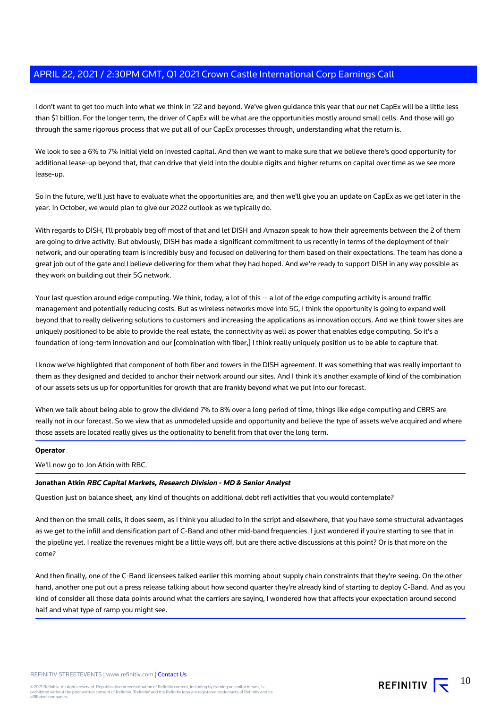I don't want to get too much into what we think in '22 and beyond. We've given guidance this year that our net CapEx will be a little less than \$1 billion. For the longer term, the driver of CapEx will be what are the opportunities mostly around small cells. And those will go through the same rigorous process that we put all of our CapEx processes through, understanding what the return is.

We look to see a 6% to 7% initial yield on invested capital. And then we want to make sure that we believe there's good opportunity for additional lease-up beyond that, that can drive that yield into the double digits and higher returns on capital over time as we see more lease-up.

So in the future, we'll just have to evaluate what the opportunities are, and then we'll give you an update on CapEx as we get later in the year. In October, we would plan to give our 2022 outlook as we typically do.

With regards to DISH, I'll probably beg off most of that and let DISH and Amazon speak to how their agreements between the 2 of them are going to drive activity. But obviously, DISH has made a significant commitment to us recently in terms of the deployment of their network, and our operating team is incredibly busy and focused on delivering for them based on their expectations. The team has done a great job out of the gate and I believe delivering for them what they had hoped. And we're ready to support DISH in any way possible as they work on building out their 5G network.

Your last question around edge computing. We think, today, a lot of this -- a lot of the edge computing activity is around traffic management and potentially reducing costs. But as wireless networks move into 5G, I think the opportunity is going to expand well beyond that to really delivering solutions to customers and increasing the applications as innovation occurs. And we think tower sites are uniquely positioned to be able to provide the real estate, the connectivity as well as power that enables edge computing. So it's a foundation of long-term innovation and our [combination with fiber,] I think really uniquely position us to be able to capture that.

I know we've highlighted that component of both fiber and towers in the DISH agreement. It was something that was really important to them as they designed and decided to anchor their network around our sites. And I think it's another example of kind of the combination of our assets sets us up for opportunities for growth that are frankly beyond what we put into our forecast.

When we talk about being able to grow the dividend 7% to 8% over a long period of time, things like edge computing and CBRS are really not in our forecast. So we view that as unmodeled upside and opportunity and believe the type of assets we've acquired and where those assets are located really gives us the optionality to benefit from that over the long term.

#### **Operator**

We'll now go to Jon Atkin with RBC.

#### **Jonathan Atkin RBC Capital Markets, Research Division - MD & Senior Analyst**

Question just on balance sheet, any kind of thoughts on additional debt refi activities that you would contemplate?

And then on the small cells, it does seem, as I think you alluded to in the script and elsewhere, that you have some structural advantages as we get to the infill and densification part of C-Band and other mid-band frequencies. I just wondered if you're starting to see that in the pipeline yet. I realize the revenues might be a little ways off, but are there active discussions at this point? Or is that more on the come?

And then finally, one of the C-Band licensees talked earlier this morning about supply chain constraints that they're seeing. On the other hand, another one put out a press release talking about how second quarter they're already kind of starting to deploy C-Band. And as you kind of consider all those data points around what the carriers are saying, I wondered how that affects your expectation around second half and what type of ramp you might see.

REFINITIV **IV** 10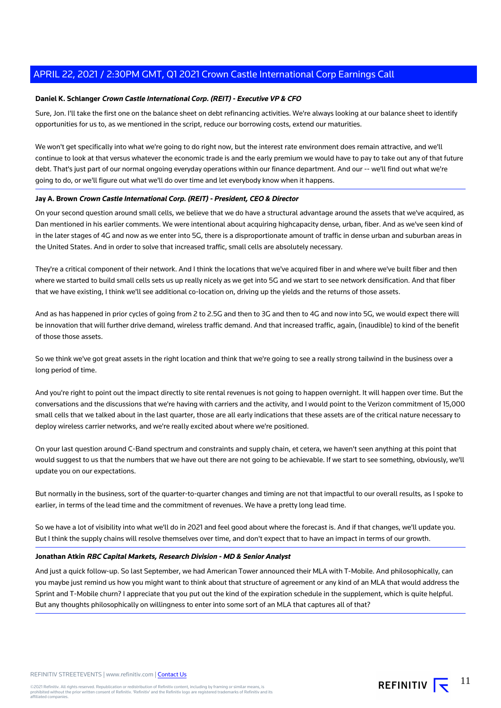#### **Daniel K. Schlanger Crown Castle International Corp. (REIT) - Executive VP & CFO**

Sure, Jon. I'll take the first one on the balance sheet on debt refinancing activities. We're always looking at our balance sheet to identify opportunities for us to, as we mentioned in the script, reduce our borrowing costs, extend our maturities.

We won't get specifically into what we're going to do right now, but the interest rate environment does remain attractive, and we'll continue to look at that versus whatever the economic trade is and the early premium we would have to pay to take out any of that future debt. That's just part of our normal ongoing everyday operations within our finance department. And our -- we'll find out what we're going to do, or we'll figure out what we'll do over time and let everybody know when it happens.

#### **Jay A. Brown Crown Castle International Corp. (REIT) - President, CEO & Director**

On your second question around small cells, we believe that we do have a structural advantage around the assets that we've acquired, as Dan mentioned in his earlier comments. We were intentional about acquiring highcapacity dense, urban, fiber. And as we've seen kind of in the later stages of 4G and now as we enter into 5G, there is a disproportionate amount of traffic in dense urban and suburban areas in the United States. And in order to solve that increased traffic, small cells are absolutely necessary.

They're a critical component of their network. And I think the locations that we've acquired fiber in and where we've built fiber and then where we started to build small cells sets us up really nicely as we get into 5G and we start to see network densification. And that fiber that we have existing, I think we'll see additional co-location on, driving up the yields and the returns of those assets.

And as has happened in prior cycles of going from 2 to 2.5G and then to 3G and then to 4G and now into 5G, we would expect there will be innovation that will further drive demand, wireless traffic demand. And that increased traffic, again, (inaudible) to kind of the benefit of those those assets.

So we think we've got great assets in the right location and think that we're going to see a really strong tailwind in the business over a long period of time.

And you're right to point out the impact directly to site rental revenues is not going to happen overnight. It will happen over time. But the conversations and the discussions that we're having with carriers and the activity, and I would point to the Verizon commitment of 15,000 small cells that we talked about in the last quarter, those are all early indications that these assets are of the critical nature necessary to deploy wireless carrier networks, and we're really excited about where we're positioned.

On your last question around C-Band spectrum and constraints and supply chain, et cetera, we haven't seen anything at this point that would suggest to us that the numbers that we have out there are not going to be achievable. If we start to see something, obviously, we'll update you on our expectations.

But normally in the business, sort of the quarter-to-quarter changes and timing are not that impactful to our overall results, as I spoke to earlier, in terms of the lead time and the commitment of revenues. We have a pretty long lead time.

So we have a lot of visibility into what we'll do in 2021 and feel good about where the forecast is. And if that changes, we'll update you. But I think the supply chains will resolve themselves over time, and don't expect that to have an impact in terms of our growth.

#### **Jonathan Atkin RBC Capital Markets, Research Division - MD & Senior Analyst**

And just a quick follow-up. So last September, we had American Tower announced their MLA with T-Mobile. And philosophically, can you maybe just remind us how you might want to think about that structure of agreement or any kind of an MLA that would address the Sprint and T-Mobile churn? I appreciate that you put out the kind of the expiration schedule in the supplement, which is quite helpful. But any thoughts philosophically on willingness to enter into some sort of an MLA that captures all of that?

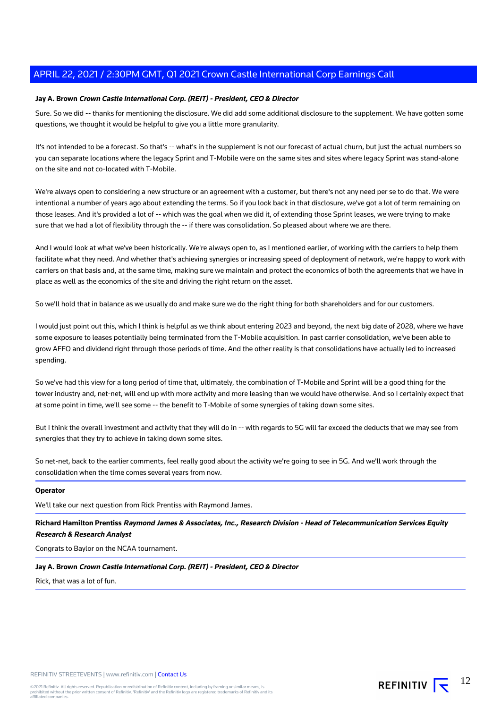#### **Jay A. Brown Crown Castle International Corp. (REIT) - President, CEO & Director**

Sure. So we did -- thanks for mentioning the disclosure. We did add some additional disclosure to the supplement. We have gotten some questions, we thought it would be helpful to give you a little more granularity.

It's not intended to be a forecast. So that's -- what's in the supplement is not our forecast of actual churn, but just the actual numbers so you can separate locations where the legacy Sprint and T-Mobile were on the same sites and sites where legacy Sprint was stand-alone on the site and not co-located with T-Mobile.

We're always open to considering a new structure or an agreement with a customer, but there's not any need per se to do that. We were intentional a number of years ago about extending the terms. So if you look back in that disclosure, we've got a lot of term remaining on those leases. And it's provided a lot of -- which was the goal when we did it, of extending those Sprint leases, we were trying to make sure that we had a lot of flexibility through the -- if there was consolidation. So pleased about where we are there.

And I would look at what we've been historically. We're always open to, as I mentioned earlier, of working with the carriers to help them facilitate what they need. And whether that's achieving synergies or increasing speed of deployment of network, we're happy to work with carriers on that basis and, at the same time, making sure we maintain and protect the economics of both the agreements that we have in place as well as the economics of the site and driving the right return on the asset.

So we'll hold that in balance as we usually do and make sure we do the right thing for both shareholders and for our customers.

I would just point out this, which I think is helpful as we think about entering 2023 and beyond, the next big date of 2028, where we have some exposure to leases potentially being terminated from the T-Mobile acquisition. In past carrier consolidation, we've been able to grow AFFO and dividend right through those periods of time. And the other reality is that consolidations have actually led to increased spending.

So we've had this view for a long period of time that, ultimately, the combination of T-Mobile and Sprint will be a good thing for the tower industry and, net-net, will end up with more activity and more leasing than we would have otherwise. And so I certainly expect that at some point in time, we'll see some -- the benefit to T-Mobile of some synergies of taking down some sites.

But I think the overall investment and activity that they will do in -- with regards to 5G will far exceed the deducts that we may see from synergies that they try to achieve in taking down some sites.

So net-net, back to the earlier comments, feel really good about the activity we're going to see in 5G. And we'll work through the consolidation when the time comes several years from now.

#### **Operator**

We'll take our next question from Rick Prentiss with Raymond James.

**Richard Hamilton Prentiss Raymond James & Associates, Inc., Research Division - Head of Telecommunication Services Equity Research & Research Analyst**

Congrats to Baylor on the NCAA tournament.

**Jay A. Brown Crown Castle International Corp. (REIT) - President, CEO & Director**

Rick, that was a lot of fun.

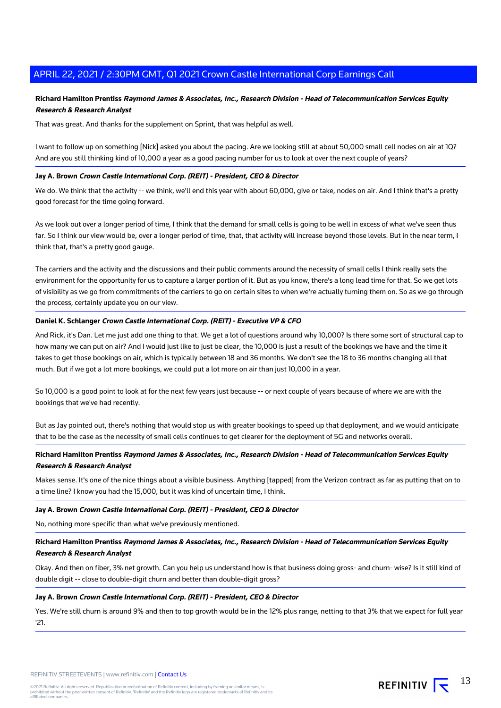## **Richard Hamilton Prentiss Raymond James & Associates, Inc., Research Division - Head of Telecommunication Services Equity Research & Research Analyst**

That was great. And thanks for the supplement on Sprint, that was helpful as well.

I want to follow up on something [Nick] asked you about the pacing. Are we looking still at about 50,000 small cell nodes on air at 1Q? And are you still thinking kind of 10,000 a year as a good pacing number for us to look at over the next couple of years?

#### **Jay A. Brown Crown Castle International Corp. (REIT) - President, CEO & Director**

We do. We think that the activity -- we think, we'll end this year with about 60,000, give or take, nodes on air. And I think that's a pretty good forecast for the time going forward.

As we look out over a longer period of time, I think that the demand for small cells is going to be well in excess of what we've seen thus far. So I think our view would be, over a longer period of time, that, that activity will increase beyond those levels. But in the near term, I think that, that's a pretty good gauge.

The carriers and the activity and the discussions and their public comments around the necessity of small cells I think really sets the environment for the opportunity for us to capture a larger portion of it. But as you know, there's a long lead time for that. So we get lots of visibility as we go from commitments of the carriers to go on certain sites to when we're actually turning them on. So as we go through the process, certainly update you on our view.

#### **Daniel K. Schlanger Crown Castle International Corp. (REIT) - Executive VP & CFO**

And Rick, it's Dan. Let me just add one thing to that. We get a lot of questions around why 10,000? Is there some sort of structural cap to how many we can put on air? And I would just like to just be clear, the 10,000 is just a result of the bookings we have and the time it takes to get those bookings on air, which is typically between 18 and 36 months. We don't see the 18 to 36 months changing all that much. But if we got a lot more bookings, we could put a lot more on air than just 10,000 in a year.

So 10,000 is a good point to look at for the next few years just because -- or next couple of years because of where we are with the bookings that we've had recently.

But as Jay pointed out, there's nothing that would stop us with greater bookings to speed up that deployment, and we would anticipate that to be the case as the necessity of small cells continues to get clearer for the deployment of 5G and networks overall.

## **Richard Hamilton Prentiss Raymond James & Associates, Inc., Research Division - Head of Telecommunication Services Equity Research & Research Analyst**

Makes sense. It's one of the nice things about a visible business. Anything [tapped] from the Verizon contract as far as putting that on to a time line? I know you had the 15,000, but it was kind of uncertain time, I think.

#### **Jay A. Brown Crown Castle International Corp. (REIT) - President, CEO & Director**

No, nothing more specific than what we've previously mentioned.

## **Richard Hamilton Prentiss Raymond James & Associates, Inc., Research Division - Head of Telecommunication Services Equity Research & Research Analyst**

Okay. And then on fiber, 3% net growth. Can you help us understand how is that business doing gross- and churn- wise? Is it still kind of double digit -- close to double-digit churn and better than double-digit gross?

#### **Jay A. Brown Crown Castle International Corp. (REIT) - President, CEO & Director**

Yes. We're still churn is around 9% and then to top growth would be in the 12% plus range, netting to that 3% that we expect for full year '21.

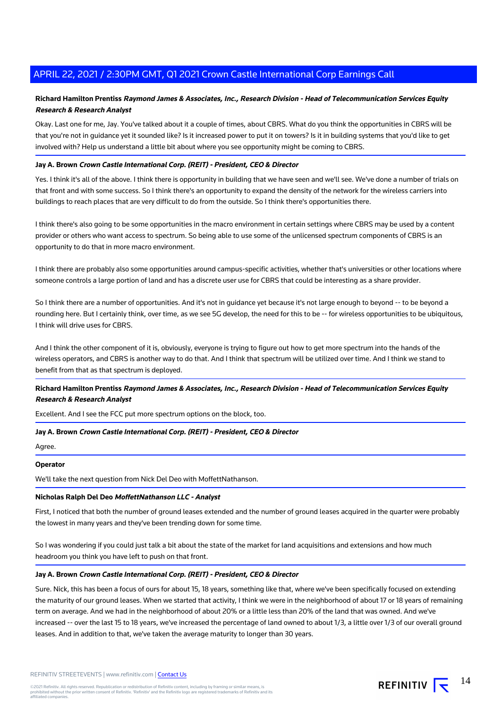## **Richard Hamilton Prentiss Raymond James & Associates, Inc., Research Division - Head of Telecommunication Services Equity Research & Research Analyst**

Okay. Last one for me, Jay. You've talked about it a couple of times, about CBRS. What do you think the opportunities in CBRS will be that you're not in guidance yet it sounded like? Is it increased power to put it on towers? Is it in building systems that you'd like to get involved with? Help us understand a little bit about where you see opportunity might be coming to CBRS.

#### **Jay A. Brown Crown Castle International Corp. (REIT) - President, CEO & Director**

Yes. I think it's all of the above. I think there is opportunity in building that we have seen and we'll see. We've done a number of trials on that front and with some success. So I think there's an opportunity to expand the density of the network for the wireless carriers into buildings to reach places that are very difficult to do from the outside. So I think there's opportunities there.

I think there's also going to be some opportunities in the macro environment in certain settings where CBRS may be used by a content provider or others who want access to spectrum. So being able to use some of the unlicensed spectrum components of CBRS is an opportunity to do that in more macro environment.

I think there are probably also some opportunities around campus-specific activities, whether that's universities or other locations where someone controls a large portion of land and has a discrete user use for CBRS that could be interesting as a share provider.

So I think there are a number of opportunities. And it's not in guidance yet because it's not large enough to beyond -- to be beyond a rounding here. But I certainly think, over time, as we see 5G develop, the need for this to be -- for wireless opportunities to be ubiquitous, I think will drive uses for CBRS.

And I think the other component of it is, obviously, everyone is trying to figure out how to get more spectrum into the hands of the wireless operators, and CBRS is another way to do that. And I think that spectrum will be utilized over time. And I think we stand to benefit from that as that spectrum is deployed.

## **Richard Hamilton Prentiss Raymond James & Associates, Inc., Research Division - Head of Telecommunication Services Equity Research & Research Analyst**

Excellent. And I see the FCC put more spectrum options on the block, too.

#### **Jay A. Brown Crown Castle International Corp. (REIT) - President, CEO & Director**

Agree.

## **Operator**

We'll take the next question from Nick Del Deo with MoffettNathanson.

## **Nicholas Ralph Del Deo MoffettNathanson LLC - Analyst**

First, I noticed that both the number of ground leases extended and the number of ground leases acquired in the quarter were probably the lowest in many years and they've been trending down for some time.

So I was wondering if you could just talk a bit about the state of the market for land acquisitions and extensions and how much headroom you think you have left to push on that front.

## **Jay A. Brown Crown Castle International Corp. (REIT) - President, CEO & Director**

Sure. Nick, this has been a focus of ours for about 15, 18 years, something like that, where we've been specifically focused on extending the maturity of our ground leases. When we started that activity, I think we were in the neighborhood of about 17 or 18 years of remaining term on average. And we had in the neighborhood of about 20% or a little less than 20% of the land that was owned. And we've increased -- over the last 15 to 18 years, we've increased the percentage of land owned to about 1/3, a little over 1/3 of our overall ground leases. And in addition to that, we've taken the average maturity to longer than 30 years.

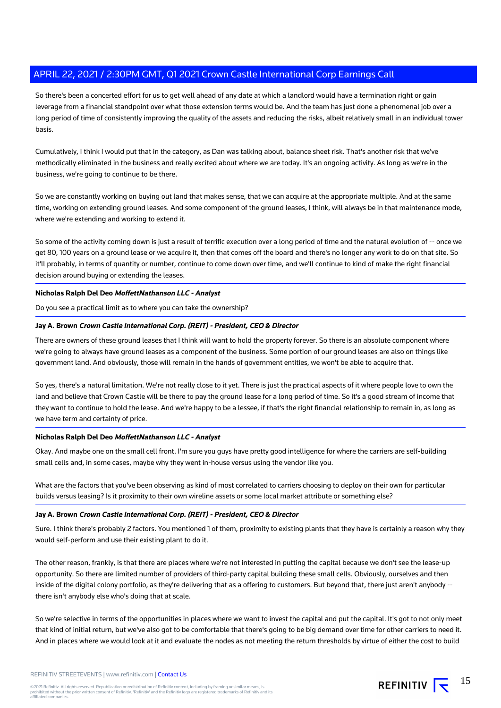So there's been a concerted effort for us to get well ahead of any date at which a landlord would have a termination right or gain leverage from a financial standpoint over what those extension terms would be. And the team has just done a phenomenal job over a long period of time of consistently improving the quality of the assets and reducing the risks, albeit relatively small in an individual tower basis.

Cumulatively, I think I would put that in the category, as Dan was talking about, balance sheet risk. That's another risk that we've methodically eliminated in the business and really excited about where we are today. It's an ongoing activity. As long as we're in the business, we're going to continue to be there.

So we are constantly working on buying out land that makes sense, that we can acquire at the appropriate multiple. And at the same time, working on extending ground leases. And some component of the ground leases, I think, will always be in that maintenance mode, where we're extending and working to extend it.

So some of the activity coming down is just a result of terrific execution over a long period of time and the natural evolution of -- once we get 80, 100 years on a ground lease or we acquire it, then that comes off the board and there's no longer any work to do on that site. So it'll probably, in terms of quantity or number, continue to come down over time, and we'll continue to kind of make the right financial decision around buying or extending the leases.

**Nicholas Ralph Del Deo MoffettNathanson LLC - Analyst**

Do you see a practical limit as to where you can take the ownership?

## **Jay A. Brown Crown Castle International Corp. (REIT) - President, CEO & Director**

There are owners of these ground leases that I think will want to hold the property forever. So there is an absolute component where we're going to always have ground leases as a component of the business. Some portion of our ground leases are also on things like government land. And obviously, those will remain in the hands of government entities, we won't be able to acquire that.

So yes, there's a natural limitation. We're not really close to it yet. There is just the practical aspects of it where people love to own the land and believe that Crown Castle will be there to pay the ground lease for a long period of time. So it's a good stream of income that they want to continue to hold the lease. And we're happy to be a lessee, if that's the right financial relationship to remain in, as long as we have term and certainty of price.

#### **Nicholas Ralph Del Deo MoffettNathanson LLC - Analyst**

Okay. And maybe one on the small cell front. I'm sure you guys have pretty good intelligence for where the carriers are self-building small cells and, in some cases, maybe why they went in-house versus using the vendor like you.

What are the factors that you've been observing as kind of most correlated to carriers choosing to deploy on their own for particular builds versus leasing? Is it proximity to their own wireline assets or some local market attribute or something else?

## **Jay A. Brown Crown Castle International Corp. (REIT) - President, CEO & Director**

Sure. I think there's probably 2 factors. You mentioned 1 of them, proximity to existing plants that they have is certainly a reason why they would self-perform and use their existing plant to do it.

The other reason, frankly, is that there are places where we're not interested in putting the capital because we don't see the lease-up opportunity. So there are limited number of providers of third-party capital building these small cells. Obviously, ourselves and then inside of the digital colony portfolio, as they're delivering that as a offering to customers. But beyond that, there just aren't anybody -there isn't anybody else who's doing that at scale.

So we're selective in terms of the opportunities in places where we want to invest the capital and put the capital. It's got to not only meet that kind of initial return, but we've also got to be comfortable that there's going to be big demand over time for other carriers to need it. And in places where we would look at it and evaluate the nodes as not meeting the return thresholds by virtue of either the cost to build

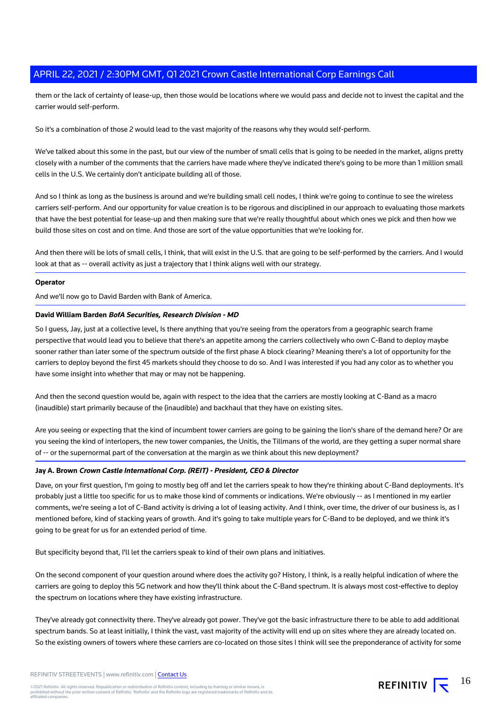them or the lack of certainty of lease-up, then those would be locations where we would pass and decide not to invest the capital and the carrier would self-perform.

So it's a combination of those 2 would lead to the vast majority of the reasons why they would self-perform.

We've talked about this some in the past, but our view of the number of small cells that is going to be needed in the market, aligns pretty closely with a number of the comments that the carriers have made where they've indicated there's going to be more than 1 million small cells in the U.S. We certainly don't anticipate building all of those.

And so I think as long as the business is around and we're building small cell nodes, I think we're going to continue to see the wireless carriers self-perform. And our opportunity for value creation is to be rigorous and disciplined in our approach to evaluating those markets that have the best potential for lease-up and then making sure that we're really thoughtful about which ones we pick and then how we build those sites on cost and on time. And those are sort of the value opportunities that we're looking for.

And then there will be lots of small cells, I think, that will exist in the U.S. that are going to be self-performed by the carriers. And I would look at that as -- overall activity as just a trajectory that I think aligns well with our strategy.

#### **Operator**

And we'll now go to David Barden with Bank of America.

#### **David William Barden BofA Securities, Research Division - MD**

So I guess, Jay, just at a collective level, Is there anything that you're seeing from the operators from a geographic search frame perspective that would lead you to believe that there's an appetite among the carriers collectively who own C-Band to deploy maybe sooner rather than later some of the spectrum outside of the first phase A block clearing? Meaning there's a lot of opportunity for the carriers to deploy beyond the first 45 markets should they choose to do so. And I was interested if you had any color as to whether you have some insight into whether that may or may not be happening.

And then the second question would be, again with respect to the idea that the carriers are mostly looking at C-Band as a macro (inaudible) start primarily because of the (inaudible) and backhaul that they have on existing sites.

Are you seeing or expecting that the kind of incumbent tower carriers are going to be gaining the lion's share of the demand here? Or are you seeing the kind of interlopers, the new tower companies, the Unitis, the Tillmans of the world, are they getting a super normal share of -- or the supernormal part of the conversation at the margin as we think about this new deployment?

#### **Jay A. Brown Crown Castle International Corp. (REIT) - President, CEO & Director**

Dave, on your first question, I'm going to mostly beg off and let the carriers speak to how they're thinking about C-Band deployments. It's probably just a little too specific for us to make those kind of comments or indications. We're obviously -- as I mentioned in my earlier comments, we're seeing a lot of C-Band activity is driving a lot of leasing activity. And I think, over time, the driver of our business is, as I mentioned before, kind of stacking years of growth. And it's going to take multiple years for C-Band to be deployed, and we think it's going to be great for us for an extended period of time.

But specificity beyond that, I'll let the carriers speak to kind of their own plans and initiatives.

On the second component of your question around where does the activity go? History, I think, is a really helpful indication of where the carriers are going to deploy this 5G network and how they'll think about the C-Band spectrum. It is always most cost-effective to deploy the spectrum on locations where they have existing infrastructure.

They've already got connectivity there. They've already got power. They've got the basic infrastructure there to be able to add additional spectrum bands. So at least initially, I think the vast, vast majority of the activity will end up on sites where they are already located on. So the existing owners of towers where these carriers are co-located on those sites I think will see the preponderance of activity for some

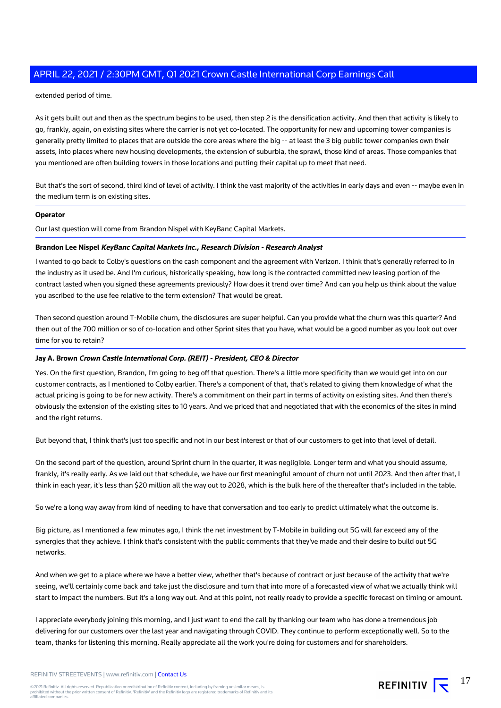extended period of time.

As it gets built out and then as the spectrum begins to be used, then step 2 is the densification activity. And then that activity is likely to go, frankly, again, on existing sites where the carrier is not yet co-located. The opportunity for new and upcoming tower companies is generally pretty limited to places that are outside the core areas where the big -- at least the 3 big public tower companies own their assets, into places where new housing developments, the extension of suburbia, the sprawl, those kind of areas. Those companies that you mentioned are often building towers in those locations and putting their capital up to meet that need.

But that's the sort of second, third kind of level of activity. I think the vast majority of the activities in early days and even -- maybe even in the medium term is on existing sites.

#### **Operator**

Our last question will come from Brandon Nispel with KeyBanc Capital Markets.

#### **Brandon Lee Nispel KeyBanc Capital Markets Inc., Research Division - Research Analyst**

I wanted to go back to Colby's questions on the cash component and the agreement with Verizon. I think that's generally referred to in the industry as it used be. And I'm curious, historically speaking, how long is the contracted committed new leasing portion of the contract lasted when you signed these agreements previously? How does it trend over time? And can you help us think about the value you ascribed to the use fee relative to the term extension? That would be great.

Then second question around T-Mobile churn, the disclosures are super helpful. Can you provide what the churn was this quarter? And then out of the 700 million or so of co-location and other Sprint sites that you have, what would be a good number as you look out over time for you to retain?

#### **Jay A. Brown Crown Castle International Corp. (REIT) - President, CEO & Director**

Yes. On the first question, Brandon, I'm going to beg off that question. There's a little more specificity than we would get into on our customer contracts, as I mentioned to Colby earlier. There's a component of that, that's related to giving them knowledge of what the actual pricing is going to be for new activity. There's a commitment on their part in terms of activity on existing sites. And then there's obviously the extension of the existing sites to 10 years. And we priced that and negotiated that with the economics of the sites in mind and the right returns.

But beyond that, I think that's just too specific and not in our best interest or that of our customers to get into that level of detail.

On the second part of the question, around Sprint churn in the quarter, it was negligible. Longer term and what you should assume, frankly, it's really early. As we laid out that schedule, we have our first meaningful amount of churn not until 2023. And then after that, I think in each year, it's less than \$20 million all the way out to 2028, which is the bulk here of the thereafter that's included in the table.

So we're a long way away from kind of needing to have that conversation and too early to predict ultimately what the outcome is.

Big picture, as I mentioned a few minutes ago, I think the net investment by T-Mobile in building out 5G will far exceed any of the synergies that they achieve. I think that's consistent with the public comments that they've made and their desire to build out 5G networks.

And when we get to a place where we have a better view, whether that's because of contract or just because of the activity that we're seeing, we'll certainly come back and take just the disclosure and turn that into more of a forecasted view of what we actually think will start to impact the numbers. But it's a long way out. And at this point, not really ready to provide a specific forecast on timing or amount.

I appreciate everybody joining this morning, and I just want to end the call by thanking our team who has done a tremendous job delivering for our customers over the last year and navigating through COVID. They continue to perform exceptionally well. So to the team, thanks for listening this morning. Really appreciate all the work you're doing for customers and for shareholders.

17

REFINITIV  $\sqrt{\frac{1}{2}}$ 

REFINITIV STREETEVENTS | www.refinitiv.com | [Contact Us](https://www.refinitiv.com/en/contact-us)